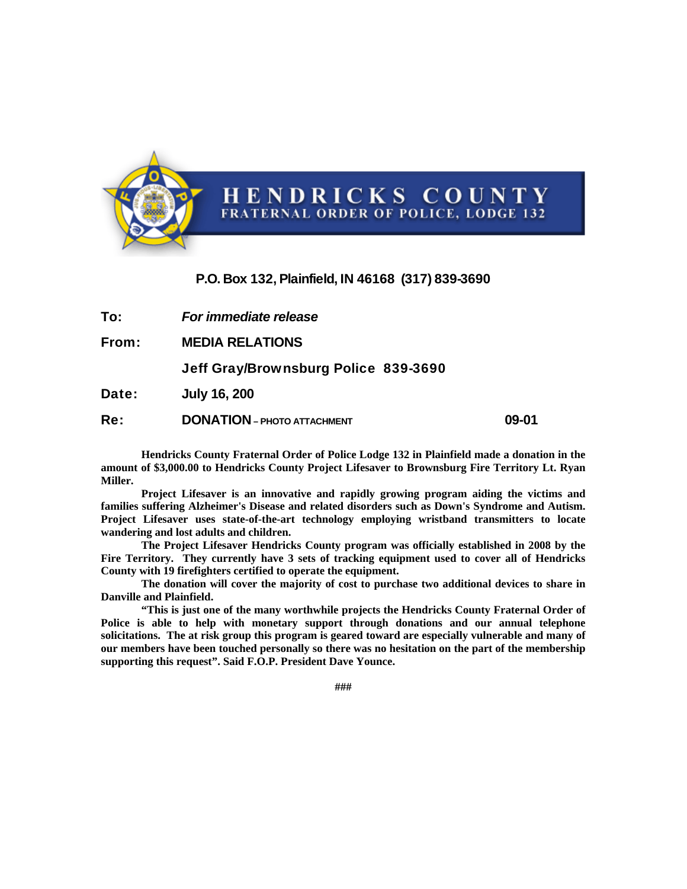

## P.O. Box 132, Plainfield, IN 46168 (317) 839-3690

To: *For immediate release*

From: **MEDIA RELATIONS** 

Jeff Gray/Brownsburg Police 839-3690

Date: **July 16, 200** 

Re: **DONATION – PHOTO ATTACHMENT 09-01** 

**Hendricks County Fraternal Order of Police Lodge 132 in Plainfield made a donation in the amount of \$3,000.00 to Hendricks County Project Lifesaver to Brownsburg Fire Territory Lt. Ryan Miller.** 

**Project Lifesaver is an innovative and rapidly growing program aiding the victims and families suffering Alzheimer's Disease and related disorders such as Down's Syndrome and Autism. Project Lifesaver uses state-of-the-art technology employing wristband transmitters to locate wandering and lost adults and children.** 

**The Project Lifesaver Hendricks County program was officially established in 2008 by the Fire Territory. They currently have 3 sets of tracking equipment used to cover all of Hendricks County with 19 firefighters certified to operate the equipment.** 

**The donation will cover the majority of cost to purchase two additional devices to share in Danville and Plainfield.** 

 **"This is just one of the many worthwhile projects the Hendricks County Fraternal Order of Police is able to help with monetary support through donations and our annual telephone solicitations. The at risk group this program is geared toward are especially vulnerable and many of our members have been touched personally so there was no hesitation on the part of the membership supporting this request". Said F.O.P. President Dave Younce.** 

**###**